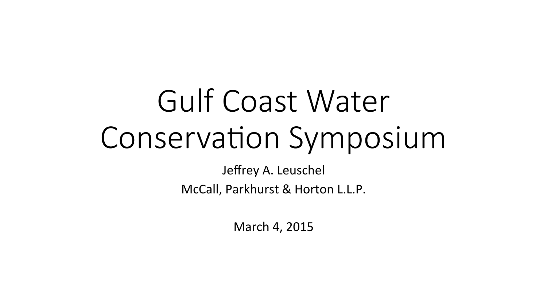# Gulf Coast Water Conservation Symposium

Jeffrey A. Leuschel McCall, Parkhurst & Horton L.L.P.

March 4, 2015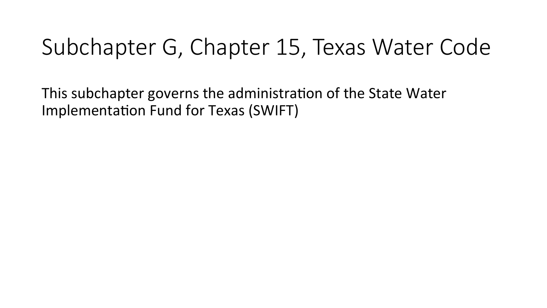# Subchapter G, Chapter 15, Texas Water Code

This subchapter governs the administration of the State Water Implementation Fund for Texas (SWIFT)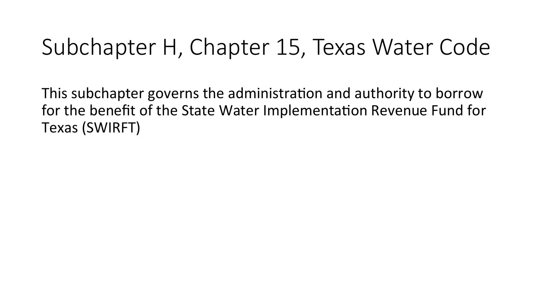# Subchapter H, Chapter 15, Texas Water Code

This subchapter governs the administration and authority to borrow for the benefit of the State Water Implementation Revenue Fund for Texas (SWIRFT)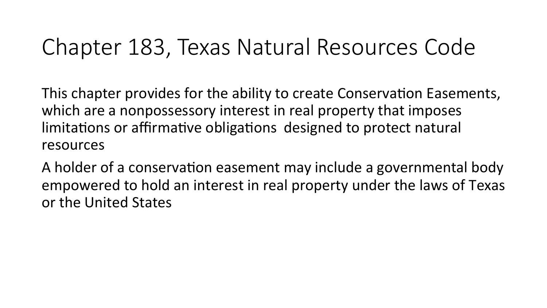### Chapter 183, Texas Natural Resources Code

This chapter provides for the ability to create Conservation Easements, which are a nonpossessory interest in real property that imposes limitations or affirmative obligations designed to protect natural resources 

A holder of a conservation easement may include a governmental body empowered to hold an interest in real property under the laws of Texas or the United States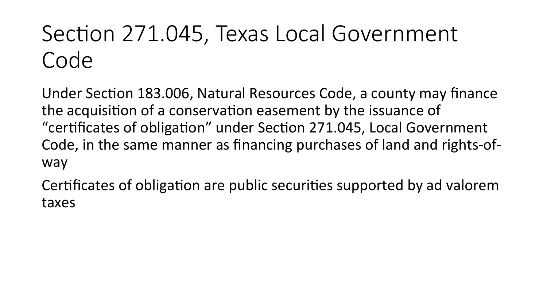# Section 271.045, Texas Local Government Code

Under Section 183.006, Natural Resources Code, a county may finance the acquisition of a conservation easement by the issuance of "certificates of obligation" under Section 271.045, Local Government Code, in the same manner as financing purchases of land and rights-ofway 

Certificates of obligation are public securities supported by ad valorem taxes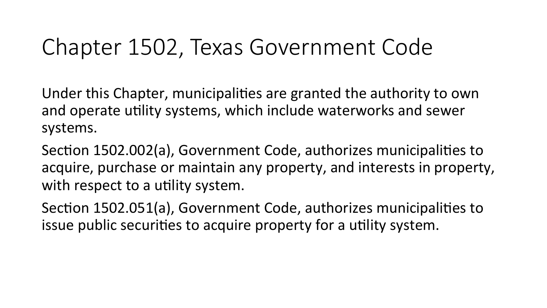# Chapter 1502, Texas Government Code

Under this Chapter, municipalities are granted the authority to own and operate utility systems, which include waterworks and sewer systems. 

Section 1502.002(a), Government Code, authorizes municipalities to acquire, purchase or maintain any property, and interests in property, with respect to a utility system.

Section 1502.051(a), Government Code, authorizes municipalities to issue public securities to acquire property for a utility system.